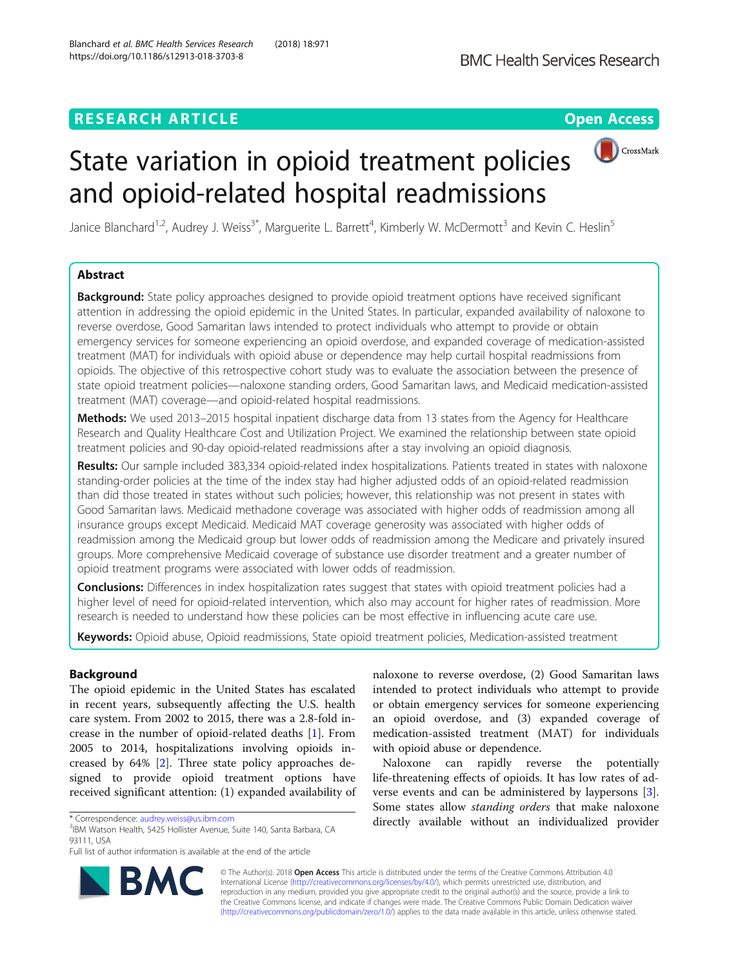# **RESEARCH ARTICLE Example 2018 12:30 THE Open Access**



# State variation in opioid treatment policies and opioid-related hospital readmissions

Janice Blanchard<sup>1,2</sup>, Audrey J. Weiss<sup>3\*</sup>, Marguerite L. Barrett<sup>4</sup>, Kimberly W. McDermott<sup>3</sup> and Kevin C. Heslin<sup>5</sup>

# Abstract

**Background:** State policy approaches designed to provide opioid treatment options have received significant attention in addressing the opioid epidemic in the United States. In particular, expanded availability of naloxone to reverse overdose, Good Samaritan laws intended to protect individuals who attempt to provide or obtain emergency services for someone experiencing an opioid overdose, and expanded coverage of medication-assisted treatment (MAT) for individuals with opioid abuse or dependence may help curtail hospital readmissions from opioids. The objective of this retrospective cohort study was to evaluate the association between the presence of state opioid treatment policies—naloxone standing orders, Good Samaritan laws, and Medicaid medication-assisted treatment (MAT) coverage—and opioid-related hospital readmissions.

Methods: We used 2013–2015 hospital inpatient discharge data from 13 states from the Agency for Healthcare Research and Quality Healthcare Cost and Utilization Project. We examined the relationship between state opioid treatment policies and 90-day opioid-related readmissions after a stay involving an opioid diagnosis.

Results: Our sample included 383,334 opioid-related index hospitalizations. Patients treated in states with naloxone standing-order policies at the time of the index stay had higher adjusted odds of an opioid-related readmission than did those treated in states without such policies; however, this relationship was not present in states with Good Samaritan laws. Medicaid methadone coverage was associated with higher odds of readmission among all insurance groups except Medicaid. Medicaid MAT coverage generosity was associated with higher odds of readmission among the Medicaid group but lower odds of readmission among the Medicare and privately insured groups. More comprehensive Medicaid coverage of substance use disorder treatment and a greater number of opioid treatment programs were associated with lower odds of readmission.

Conclusions: Differences in index hospitalization rates suggest that states with opioid treatment policies had a higher level of need for opioid-related intervention, which also may account for higher rates of readmission. More research is needed to understand how these policies can be most effective in influencing acute care use.

Keywords: Opioid abuse, Opioid readmissions, State opioid treatment policies, Medication-assisted treatment

# Background

The opioid epidemic in the United States has escalated in recent years, subsequently affecting the U.S. health care system. From 2002 to 2015, there was a 2.8-fold increase in the number of opioid-related deaths [[1\]](#page-9-0). From 2005 to 2014, hospitalizations involving opioids increased by 64% [\[2](#page-9-0)]. Three state policy approaches designed to provide opioid treatment options have received significant attention: (1) expanded availability of

<sup>3</sup>IBM Watson Health, 5425 Hollister Avenue, Suite 140, Santa Barbara, CA 93111, USA



Naloxone can rapidly reverse the potentially life-threatening effects of opioids. It has low rates of adverse events and can be administered by laypersons [\[3](#page-10-0)]. Some states allow standing orders that make naloxone \* Correspondence: [audrey.weiss@us.ibm.com](mailto:audrey.weiss@us.ibm.com) directly available without an individualized provider



© The Author(s). 2018 Open Access This article is distributed under the terms of the Creative Commons Attribution 4.0 International License [\(http://creativecommons.org/licenses/by/4.0/](http://creativecommons.org/licenses/by/4.0/)), which permits unrestricted use, distribution, and reproduction in any medium, provided you give appropriate credit to the original author(s) and the source, provide a link to the Creative Commons license, and indicate if changes were made. The Creative Commons Public Domain Dedication waiver [\(http://creativecommons.org/publicdomain/zero/1.0/](http://creativecommons.org/publicdomain/zero/1.0/)) applies to the data made available in this article, unless otherwise stated.

Full list of author information is available at the end of the article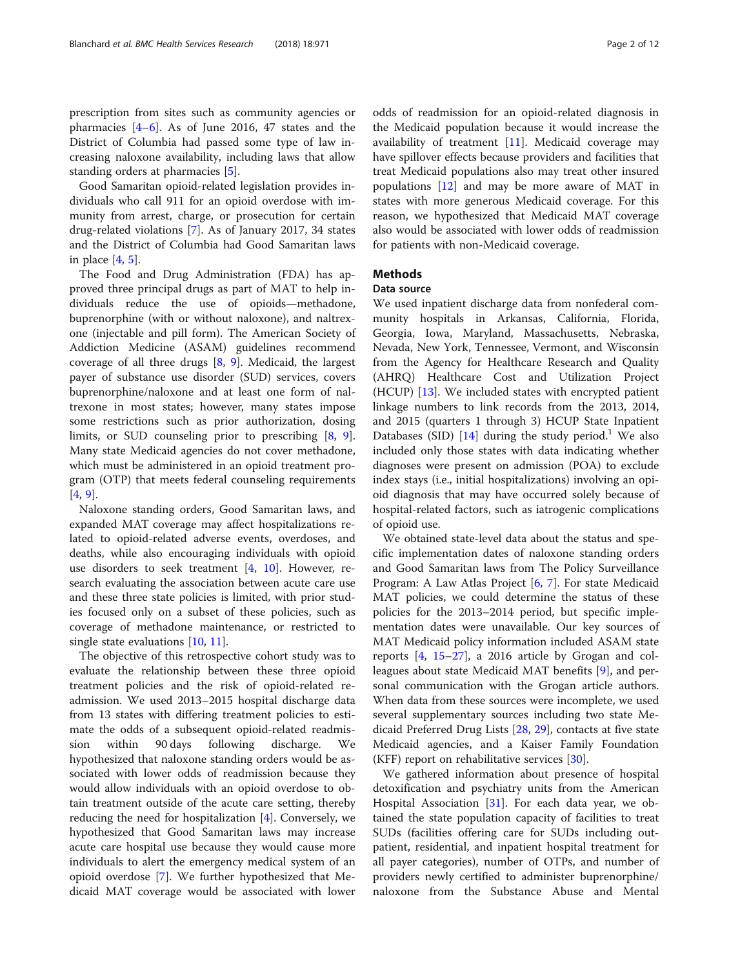prescription from sites such as community agencies or pharmacies  $[4-6]$  $[4-6]$  $[4-6]$ . As of June 2016, 47 states and the District of Columbia had passed some type of law increasing naloxone availability, including laws that allow standing orders at pharmacies [\[5\]](#page-10-0).

Good Samaritan opioid-related legislation provides individuals who call 911 for an opioid overdose with immunity from arrest, charge, or prosecution for certain drug-related violations [\[7](#page-10-0)]. As of January 2017, 34 states and the District of Columbia had Good Samaritan laws in place [[4,](#page-10-0) [5\]](#page-10-0).

The Food and Drug Administration (FDA) has approved three principal drugs as part of MAT to help individuals reduce the use of opioids—methadone, buprenorphine (with or without naloxone), and naltrexone (injectable and pill form). The American Society of Addiction Medicine (ASAM) guidelines recommend coverage of all three drugs [\[8](#page-10-0), [9](#page-10-0)]. Medicaid, the largest payer of substance use disorder (SUD) services, covers buprenorphine/naloxone and at least one form of naltrexone in most states; however, many states impose some restrictions such as prior authorization, dosing limits, or SUD counseling prior to prescribing [[8,](#page-10-0) [9](#page-10-0)]. Many state Medicaid agencies do not cover methadone, which must be administered in an opioid treatment program (OTP) that meets federal counseling requirements [[4,](#page-10-0) [9\]](#page-10-0).

Naloxone standing orders, Good Samaritan laws, and expanded MAT coverage may affect hospitalizations related to opioid-related adverse events, overdoses, and deaths, while also encouraging individuals with opioid use disorders to seek treatment  $[4, 10]$  $[4, 10]$  $[4, 10]$  $[4, 10]$  $[4, 10]$ . However, research evaluating the association between acute care use and these three state policies is limited, with prior studies focused only on a subset of these policies, such as coverage of methadone maintenance, or restricted to single state evaluations [[10,](#page-10-0) [11](#page-10-0)].

The objective of this retrospective cohort study was to evaluate the relationship between these three opioid treatment policies and the risk of opioid-related readmission. We used 2013–2015 hospital discharge data from 13 states with differing treatment policies to estimate the odds of a subsequent opioid-related readmission within 90 days following discharge. We hypothesized that naloxone standing orders would be associated with lower odds of readmission because they would allow individuals with an opioid overdose to obtain treatment outside of the acute care setting, thereby reducing the need for hospitalization  $[4]$  $[4]$  $[4]$ . Conversely, we hypothesized that Good Samaritan laws may increase acute care hospital use because they would cause more individuals to alert the emergency medical system of an opioid overdose [\[7](#page-10-0)]. We further hypothesized that Medicaid MAT coverage would be associated with lower

odds of readmission for an opioid-related diagnosis in the Medicaid population because it would increase the availability of treatment  $[11]$  $[11]$ . Medicaid coverage may have spillover effects because providers and facilities that treat Medicaid populations also may treat other insured populations [[12\]](#page-10-0) and may be more aware of MAT in states with more generous Medicaid coverage. For this reason, we hypothesized that Medicaid MAT coverage also would be associated with lower odds of readmission for patients with non-Medicaid coverage.

# Methods

## Data source

We used inpatient discharge data from nonfederal community hospitals in Arkansas, California, Florida, Georgia, Iowa, Maryland, Massachusetts, Nebraska, Nevada, New York, Tennessee, Vermont, and Wisconsin from the Agency for Healthcare Research and Quality (AHRQ) Healthcare Cost and Utilization Project (HCUP) [[13\]](#page-10-0). We included states with encrypted patient linkage numbers to link records from the 2013, 2014, and 2015 (quarters 1 through 3) HCUP State Inpatient Databases (SID)  $[14]$  $[14]$  during the study period.<sup>1</sup> We also included only those states with data indicating whether diagnoses were present on admission (POA) to exclude index stays (i.e., initial hospitalizations) involving an opioid diagnosis that may have occurred solely because of hospital-related factors, such as iatrogenic complications of opioid use.

We obtained state-level data about the status and specific implementation dates of naloxone standing orders and Good Samaritan laws from The Policy Surveillance Program: A Law Atlas Project [[6,](#page-10-0) [7](#page-10-0)]. For state Medicaid MAT policies, we could determine the status of these policies for the 2013–2014 period, but specific implementation dates were unavailable. Our key sources of MAT Medicaid policy information included ASAM state reports [[4,](#page-10-0) [15](#page-10-0)–[27](#page-10-0)], a 2016 article by Grogan and colleagues about state Medicaid MAT benefits [\[9](#page-10-0)], and personal communication with the Grogan article authors. When data from these sources were incomplete, we used several supplementary sources including two state Medicaid Preferred Drug Lists [[28,](#page-10-0) [29\]](#page-10-0), contacts at five state Medicaid agencies, and a Kaiser Family Foundation (KFF) report on rehabilitative services [\[30\]](#page-10-0).

We gathered information about presence of hospital detoxification and psychiatry units from the American Hospital Association [[31\]](#page-10-0). For each data year, we obtained the state population capacity of facilities to treat SUDs (facilities offering care for SUDs including outpatient, residential, and inpatient hospital treatment for all payer categories), number of OTPs, and number of providers newly certified to administer buprenorphine/ naloxone from the Substance Abuse and Mental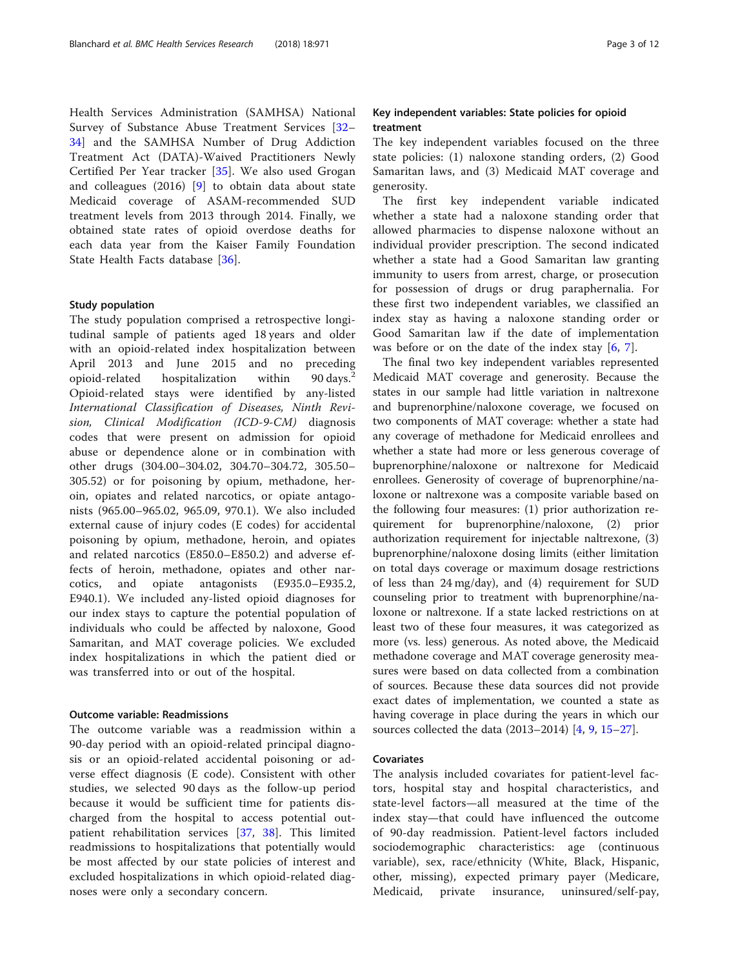Health Services Administration (SAMHSA) National Survey of Substance Abuse Treatment Services [[32](#page-10-0)– [34\]](#page-10-0) and the SAMHSA Number of Drug Addiction Treatment Act (DATA)-Waived Practitioners Newly Certified Per Year tracker [\[35](#page-10-0)]. We also used Grogan and colleagues (2016) [\[9](#page-10-0)] to obtain data about state Medicaid coverage of ASAM-recommended SUD treatment levels from 2013 through 2014. Finally, we obtained state rates of opioid overdose deaths for each data year from the Kaiser Family Foundation State Health Facts database [[36](#page-10-0)].

#### Study population

The study population comprised a retrospective longitudinal sample of patients aged 18 years and older with an opioid-related index hospitalization between April 2013 and June 2015 and no preceding opioid-related hospitalization within 90 days.<sup>2</sup> Opioid-related stays were identified by any-listed International Classification of Diseases, Ninth Revision, Clinical Modification (ICD-9-CM) diagnosis codes that were present on admission for opioid abuse or dependence alone or in combination with other drugs (304.00–304.02, 304.70–304.72, 305.50– 305.52) or for poisoning by opium, methadone, heroin, opiates and related narcotics, or opiate antagonists (965.00–965.02, 965.09, 970.1). We also included external cause of injury codes (E codes) for accidental poisoning by opium, methadone, heroin, and opiates and related narcotics (E850.0–E850.2) and adverse effects of heroin, methadone, opiates and other narcotics, and opiate antagonists (E935.0–E935.2, E940.1). We included any-listed opioid diagnoses for our index stays to capture the potential population of individuals who could be affected by naloxone, Good Samaritan, and MAT coverage policies. We excluded index hospitalizations in which the patient died or was transferred into or out of the hospital.

# Outcome variable: Readmissions

The outcome variable was a readmission within a 90-day period with an opioid-related principal diagnosis or an opioid-related accidental poisoning or adverse effect diagnosis (E code). Consistent with other studies, we selected 90 days as the follow-up period because it would be sufficient time for patients discharged from the hospital to access potential outpatient rehabilitation services [\[37](#page-10-0), [38\]](#page-10-0). This limited readmissions to hospitalizations that potentially would be most affected by our state policies of interest and excluded hospitalizations in which opioid-related diagnoses were only a secondary concern.

# Key independent variables: State policies for opioid treatment

The key independent variables focused on the three state policies: (1) naloxone standing orders, (2) Good Samaritan laws, and (3) Medicaid MAT coverage and generosity.

The first key independent variable indicated whether a state had a naloxone standing order that allowed pharmacies to dispense naloxone without an individual provider prescription. The second indicated whether a state had a Good Samaritan law granting immunity to users from arrest, charge, or prosecution for possession of drugs or drug paraphernalia. For these first two independent variables, we classified an index stay as having a naloxone standing order or Good Samaritan law if the date of implementation was before or on the date of the index stay  $[6, 7]$  $[6, 7]$  $[6, 7]$ .

The final two key independent variables represented Medicaid MAT coverage and generosity. Because the states in our sample had little variation in naltrexone and buprenorphine/naloxone coverage, we focused on two components of MAT coverage: whether a state had any coverage of methadone for Medicaid enrollees and whether a state had more or less generous coverage of buprenorphine/naloxone or naltrexone for Medicaid enrollees. Generosity of coverage of buprenorphine/naloxone or naltrexone was a composite variable based on the following four measures: (1) prior authorization requirement for buprenorphine/naloxone, (2) prior authorization requirement for injectable naltrexone, (3) buprenorphine/naloxone dosing limits (either limitation on total days coverage or maximum dosage restrictions of less than 24 mg/day), and (4) requirement for SUD counseling prior to treatment with buprenorphine/naloxone or naltrexone. If a state lacked restrictions on at least two of these four measures, it was categorized as more (vs. less) generous. As noted above, the Medicaid methadone coverage and MAT coverage generosity measures were based on data collected from a combination of sources. Because these data sources did not provide exact dates of implementation, we counted a state as having coverage in place during the years in which our sources collected the data (2013–2014) [[4,](#page-10-0) [9,](#page-10-0) [15](#page-10-0)–[27\]](#page-10-0).

# Covariates

The analysis included covariates for patient-level factors, hospital stay and hospital characteristics, and state-level factors—all measured at the time of the index stay—that could have influenced the outcome of 90-day readmission. Patient-level factors included sociodemographic characteristics: age (continuous variable), sex, race/ethnicity (White, Black, Hispanic, other, missing), expected primary payer (Medicare, Medicaid, private insurance, uninsured/self-pay,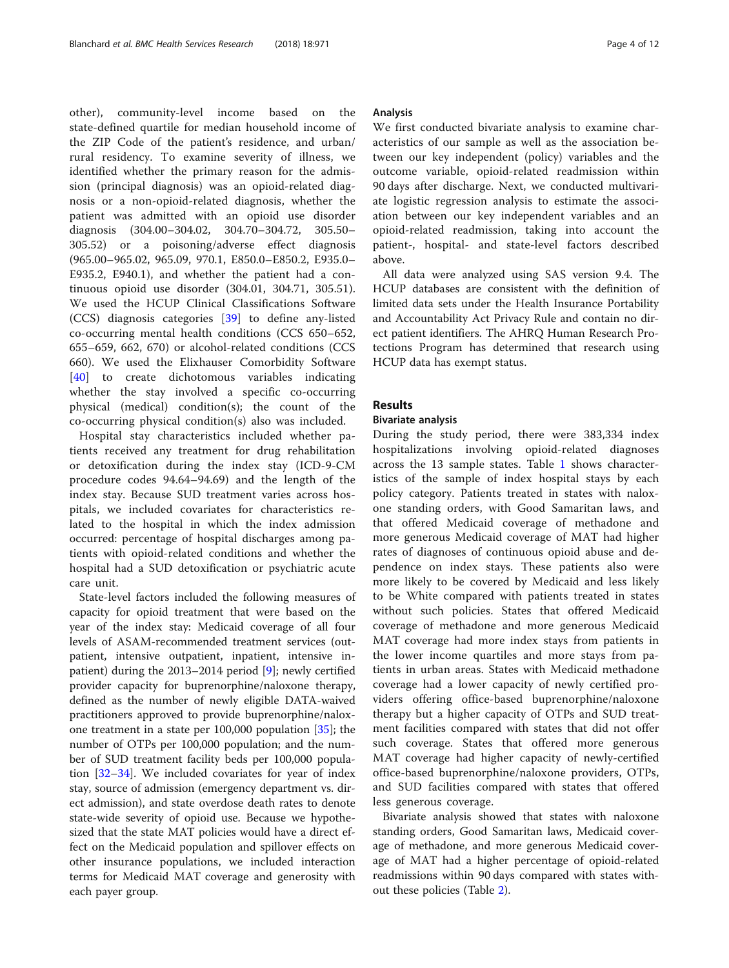other), community-level income based on the state-defined quartile for median household income of the ZIP Code of the patient's residence, and urban/ rural residency. To examine severity of illness, we identified whether the primary reason for the admission (principal diagnosis) was an opioid-related diagnosis or a non-opioid-related diagnosis, whether the patient was admitted with an opioid use disorder diagnosis (304.00–304.02, 304.70–304.72, 305.50– 305.52) or a poisoning/adverse effect diagnosis (965.00–965.02, 965.09, 970.1, E850.0–E850.2, E935.0– E935.2, E940.1), and whether the patient had a continuous opioid use disorder (304.01, 304.71, 305.51). We used the HCUP Clinical Classifications Software (CCS) diagnosis categories [[39](#page-11-0)] to define any-listed co-occurring mental health conditions (CCS 650–652, 655–659, 662, 670) or alcohol-related conditions (CCS 660). We used the Elixhauser Comorbidity Software [[40\]](#page-11-0) to create dichotomous variables indicating whether the stay involved a specific co-occurring physical (medical) condition(s); the count of the co-occurring physical condition(s) also was included.

Hospital stay characteristics included whether patients received any treatment for drug rehabilitation or detoxification during the index stay (ICD-9-CM procedure codes 94.64–94.69) and the length of the index stay. Because SUD treatment varies across hospitals, we included covariates for characteristics related to the hospital in which the index admission occurred: percentage of hospital discharges among patients with opioid-related conditions and whether the hospital had a SUD detoxification or psychiatric acute care unit.

State-level factors included the following measures of capacity for opioid treatment that were based on the year of the index stay: Medicaid coverage of all four levels of ASAM-recommended treatment services (outpatient, intensive outpatient, inpatient, intensive inpatient) during the 2013–2014 period [\[9](#page-10-0)]; newly certified provider capacity for buprenorphine/naloxone therapy, defined as the number of newly eligible DATA-waived practitioners approved to provide buprenorphine/naloxone treatment in a state per 100,000 population [\[35](#page-10-0)]; the number of OTPs per 100,000 population; and the number of SUD treatment facility beds per 100,000 population [[32](#page-10-0)–[34](#page-10-0)]. We included covariates for year of index stay, source of admission (emergency department vs. direct admission), and state overdose death rates to denote state-wide severity of opioid use. Because we hypothesized that the state MAT policies would have a direct effect on the Medicaid population and spillover effects on other insurance populations, we included interaction terms for Medicaid MAT coverage and generosity with each payer group.

# Analysis

We first conducted bivariate analysis to examine characteristics of our sample as well as the association between our key independent (policy) variables and the outcome variable, opioid-related readmission within 90 days after discharge. Next, we conducted multivariate logistic regression analysis to estimate the association between our key independent variables and an opioid-related readmission, taking into account the patient-, hospital- and state-level factors described above.

All data were analyzed using SAS version 9.4. The HCUP databases are consistent with the definition of limited data sets under the Health Insurance Portability and Accountability Act Privacy Rule and contain no direct patient identifiers. The AHRQ Human Research Protections Program has determined that research using HCUP data has exempt status.

# Results

## Bivariate analysis

During the study period, there were 383,334 index hospitalizations involving opioid-related diagnoses across the 13 sample states. Table [1](#page-4-0) shows characteristics of the sample of index hospital stays by each policy category. Patients treated in states with naloxone standing orders, with Good Samaritan laws, and that offered Medicaid coverage of methadone and more generous Medicaid coverage of MAT had higher rates of diagnoses of continuous opioid abuse and dependence on index stays. These patients also were more likely to be covered by Medicaid and less likely to be White compared with patients treated in states without such policies. States that offered Medicaid coverage of methadone and more generous Medicaid MAT coverage had more index stays from patients in the lower income quartiles and more stays from patients in urban areas. States with Medicaid methadone coverage had a lower capacity of newly certified providers offering office-based buprenorphine/naloxone therapy but a higher capacity of OTPs and SUD treatment facilities compared with states that did not offer such coverage. States that offered more generous MAT coverage had higher capacity of newly-certified office-based buprenorphine/naloxone providers, OTPs, and SUD facilities compared with states that offered less generous coverage.

Bivariate analysis showed that states with naloxone standing orders, Good Samaritan laws, Medicaid coverage of methadone, and more generous Medicaid coverage of MAT had a higher percentage of opioid-related readmissions within 90 days compared with states without these policies (Table [2\)](#page-5-0).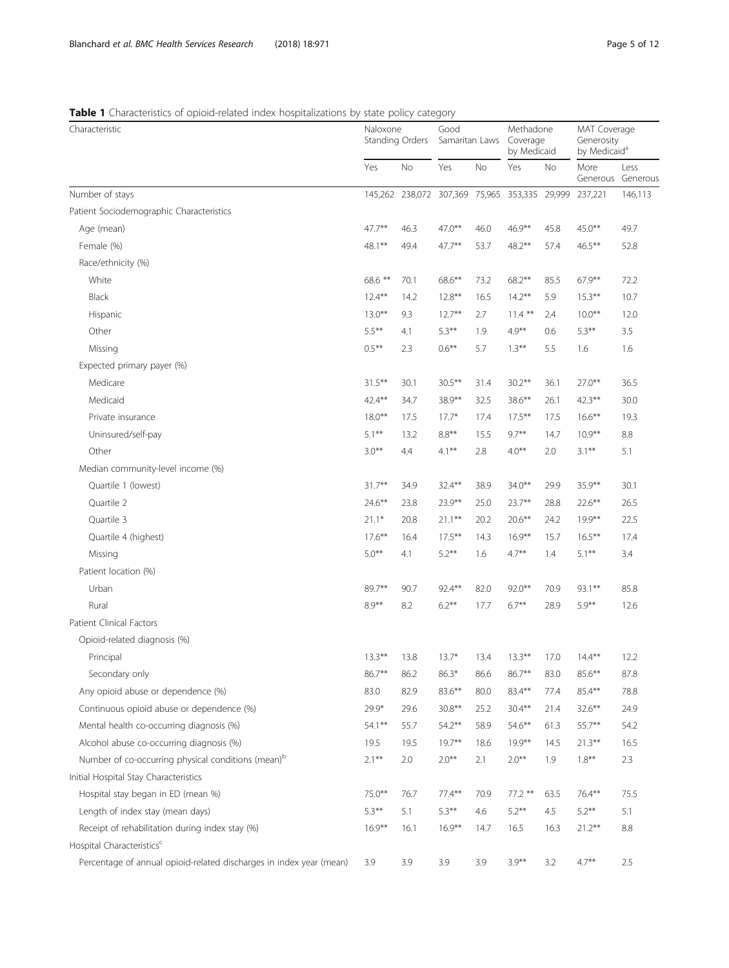# <span id="page-4-0"></span>Table 1 Characteristics of opioid-related index hospitalizations by state policy category

| Characteristic                                                      | Naloxone<br>Standing Orders |           | Good<br>Samaritan Laws                        |           | Methadone<br>Coverage<br>by Medicaid |           | MAT Coverage<br>Generosity<br>by Medicaid <sup>a</sup> |                           |
|---------------------------------------------------------------------|-----------------------------|-----------|-----------------------------------------------|-----------|--------------------------------------|-----------|--------------------------------------------------------|---------------------------|
|                                                                     | Yes                         | <b>No</b> | Yes                                           | <b>No</b> | Yes                                  | <b>No</b> | More                                                   | Less<br>Generous Generous |
| Number of stays                                                     |                             |           | 145,262 238,072 307,369 75,965 353,335 29,999 |           |                                      |           | 237.221                                                | 146,113                   |
| Patient Sociodemographic Characteristics                            |                             |           |                                               |           |                                      |           |                                                        |                           |
| Age (mean)                                                          | 47.7**                      | 46.3      | $47.0***$                                     | 46.0      | 46.9**                               | 45.8      | $45.0***$                                              | 49.7                      |
| Female (%)                                                          | 48.1**                      | 49.4      | $47.7***$                                     | 53.7      | 48.2**                               | 57.4      | $46.5***$                                              | 52.8                      |
| Race/ethnicity (%)                                                  |                             |           |                                               |           |                                      |           |                                                        |                           |
| White                                                               | 68.6 **                     | 70.1      | 68.6**                                        | 73.2      | $68.2***$                            | 85.5      | $67.9***$                                              | 72.2                      |
| Black                                                               | $12.4***$                   | 14.2      | $12.8***$                                     | 16.5      | $14.2***$                            | 5.9       | $15.3***$                                              | 10.7                      |
| Hispanic                                                            | $13.0***$                   | 9.3       | $12.7***$                                     | 2.7       | $11.4***$                            | 2.4       | $10.0***$                                              | 12.0                      |
| Other                                                               | $5.5***$                    | 4.1       | $5.3***$                                      | 1.9       | $4.9***$                             | 0.6       | $5.3***$                                               | 3.5                       |
| Missing                                                             | $0.5***$                    | 2.3       | $0.6***$                                      | 5.7       | $1.3***$                             | 5.5       | 1.6                                                    | 1.6                       |
| Expected primary payer (%)                                          |                             |           |                                               |           |                                      |           |                                                        |                           |
| Medicare                                                            | $31.5***$                   | 30.1      | $30.5***$                                     | 31.4      | $30.2***$                            | 36.1      | $27.0***$                                              | 36.5                      |
| Medicaid                                                            | 42.4**                      | 34.7      | 38.9**                                        | 32.5      | 38.6**                               | 26.1      | $42.3***$                                              | 30.0                      |
| Private insurance                                                   | $18.0***$                   | 17.5      | $17.7*$                                       | 17.4      | $17.5***$                            | 17.5      | $16.6***$                                              | 19.3                      |
| Uninsured/self-pay                                                  | $5.1***$                    | 13.2      | $8.8**$                                       | 15.5      | $9.7***$                             | 14.7      | $10.9***$                                              | 8.8                       |
| Other                                                               | $3.0***$                    | 4.4       | $4.1***$                                      | 2.8       | $4.0***$                             | 2.0       | $3.1***$                                               | 5.1                       |
| Median community-level income (%)                                   |                             |           |                                               |           |                                      |           |                                                        |                           |
| Quartile 1 (lowest)                                                 | $31.7***$                   | 34.9      | $32.4***$                                     | 38.9      | $34.0***$                            | 29.9      | $35.9***$                                              | 30.1                      |
| Quartile 2                                                          | $24.6***$                   | 23.8      | $23.9***$                                     | 25.0      | $23.7***$                            | 28.8      | $22.6***$                                              | 26.5                      |
| Quartile 3                                                          | $21.1*$                     | 20.8      | $21.1***$                                     | 20.2      | $20.6***$                            | 24.2      | $19.9***$                                              | 22.5                      |
| Quartile 4 (highest)                                                | $17.6***$                   | 16.4      | $17.5***$                                     | 14.3      | $16.9***$                            | 15.7      | $16.5***$                                              | 17.4                      |
| Missing                                                             | $5.0***$                    | 4.1       | $5.2***$                                      | 1.6       | $4.7***$                             | 1.4       | $5.1***$                                               | 3.4                       |
| Patient location (%)                                                |                             |           |                                               |           |                                      |           |                                                        |                           |
| Urban                                                               | 89.7**                      | 90.7      | $92.4***$                                     | 82.0      | $92.0***$                            | 70.9      | 93.1**                                                 | 85.8                      |
| Rural                                                               | $8.9***$                    | 8.2       | $6.2***$                                      | 17.7      | $6.7***$                             | 28.9      | $5.9***$                                               | 12.6                      |
| Patient Clinical Factors                                            |                             |           |                                               |           |                                      |           |                                                        |                           |
| Opioid-related diagnosis (%)                                        |                             |           |                                               |           |                                      |           |                                                        |                           |
| Principal                                                           | $13.3***$                   | 13.8      | $13.7*$                                       | 13.4      | $13.3***$                            | 17.0      | $14.4***$                                              | 12.2                      |
| Secondary only                                                      | 86.7**                      | 86.2      | $86.3*$                                       | 86.6      | 86.7**                               | 83.0      | $85.6***$                                              | 87.8                      |
| Any opioid abuse or dependence (%)                                  | 83.0                        | 82.9      | 83.6**                                        | 80.0      | 83.4**                               | 77.4      | 85.4**                                                 | 78.8                      |
| Continuous opioid abuse or dependence (%)                           | 29.9*                       | 29.6      | $30.8**$                                      | 25.2      | $30.4***$                            | 21.4      | $32.6***$                                              | 24.9                      |
| Mental health co-occurring diagnosis (%)                            | 54.1**                      | 55.7      | $54.2***$                                     | 58.9      | $54.6***$                            | 61.3      | 55.7**                                                 | 54.2                      |
| Alcohol abuse co-occurring diagnosis (%)                            | 19.5                        | 19.5      | $19.7***$                                     | 18.6      | $19.9***$                            | 14.5      | $21.3***$                                              | 16.5                      |
| Number of co-occurring physical conditions (mean) <sup>b</sup>      | $2.1***$                    | 2.0       | $2.0***$                                      | 2.1       | $2.0***$                             | 1.9       | $1.8***$                                               | 2.3                       |
| Initial Hospital Stay Characteristics                               |                             |           |                                               |           |                                      |           |                                                        |                           |
| Hospital stay began in ED (mean %)                                  | 75.0**                      | 76.7      | $77.4***$                                     | 70.9      | 77.2 **                              | 63.5      | 76.4**                                                 | 75.5                      |
| Length of index stay (mean days)                                    | $5.3***$                    | 5.1       | $5.3***$                                      | 4.6       | $5.2***$                             | 4.5       | $5.2***$                                               | 5.1                       |
| Receipt of rehabilitation during index stay (%)                     | $16.9***$                   | 16.1      | $16.9***$                                     | 14.7      | 16.5                                 | 16.3      | $21.2***$                                              | 8.8                       |
| Hospital Characteristics <sup>c</sup>                               |                             |           |                                               |           |                                      |           |                                                        |                           |
| Percentage of annual opioid-related discharges in index year (mean) | 3.9                         | 3.9       | 3.9                                           | 3.9       | $3.9***$                             | 3.2       | $4.7***$                                               | 2.5                       |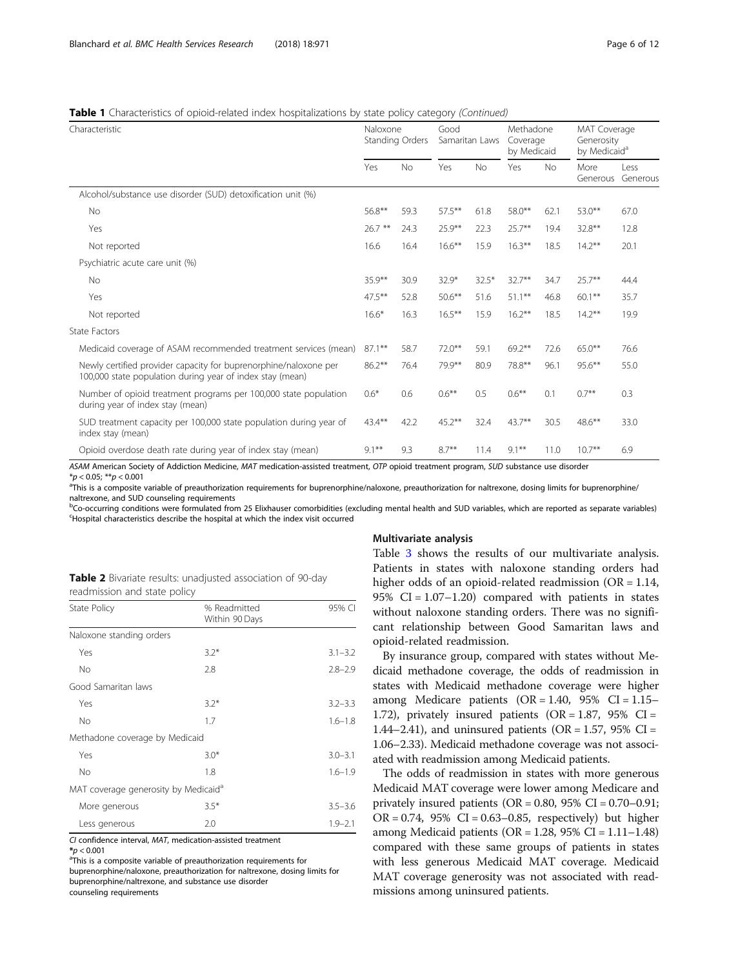## <span id="page-5-0"></span>**Table 1** Characteristics of opioid-related index hospitalizations by state policy category (Continued)

| Characteristic                                                                                                                |           | Naloxone<br>Standing Orders |           | Good<br>Samaritan Laws |           | Methadone<br>Coverage<br>by Medicaid |                  | MAT Coverage<br>Generosity<br>by Medicaid <sup>a</sup> |  |
|-------------------------------------------------------------------------------------------------------------------------------|-----------|-----------------------------|-----------|------------------------|-----------|--------------------------------------|------------------|--------------------------------------------------------|--|
|                                                                                                                               | Yes       | <b>No</b>                   | Yes       | <b>No</b>              | Yes       | <b>No</b>                            | More<br>Generous | Less<br>Generous                                       |  |
| Alcohol/substance use disorder (SUD) detoxification unit (%)                                                                  |           |                             |           |                        |           |                                      |                  |                                                        |  |
| <b>No</b>                                                                                                                     | 56.8**    | 59.3                        | $57.5***$ | 61.8                   | 58.0**    | 62.1                                 | $53.0***$        | 67.0                                                   |  |
| Yes                                                                                                                           | $26.7***$ | 24.3                        | $25.9***$ | 22.3                   | $25.7***$ | 19.4                                 | $32.8***$        | 12.8                                                   |  |
| Not reported                                                                                                                  | 16.6      | 16.4                        | $16.6***$ | 15.9                   | $16.3***$ | 18.5                                 | $14.2***$        | 20.1                                                   |  |
| Psychiatric acute care unit (%)                                                                                               |           |                             |           |                        |           |                                      |                  |                                                        |  |
| <b>No</b>                                                                                                                     | $35.9***$ | 30.9                        | $32.9*$   | $32.5*$                | $32.7***$ | 34.7                                 | $25.7***$        | 44.4                                                   |  |
| Yes                                                                                                                           | $47.5***$ | 52.8                        | $50.6***$ | 51.6                   | $51.1***$ | 46.8                                 | $60.1***$        | 35.7                                                   |  |
| Not reported                                                                                                                  | $16.6*$   | 16.3                        | $16.5***$ | 15.9                   | $16.2***$ | 18.5                                 | $14.2***$        | 19.9                                                   |  |
| State Factors                                                                                                                 |           |                             |           |                        |           |                                      |                  |                                                        |  |
| Medicaid coverage of ASAM recommended treatment services (mean)                                                               | $87.1***$ | 58.7                        | $72.0***$ | 59.1                   | $69.2***$ | 72.6                                 | $65.0***$        | 76.6                                                   |  |
| Newly certified provider capacity for buprenorphine/naloxone per<br>100,000 state population during year of index stay (mean) | $86.2***$ | 76.4                        | 79.9**    | 80.9                   | 78.8**    | 96.1                                 | $95.6***$        | 55.0                                                   |  |
| Number of opioid treatment programs per 100,000 state population<br>during year of index stay (mean)                          | $0.6*$    | 0.6                         | $0.6***$  | 0.5                    | $0.6***$  | 0.1                                  | $0.7***$         | 0.3                                                    |  |
| SUD treatment capacity per 100,000 state population during year of<br>index stay (mean)                                       | 43.4**    | 42.2                        | $45.2***$ | 32.4                   | $43.7**$  | 30.5                                 | $48.6***$        | 33.0                                                   |  |
| Opioid overdose death rate during year of index stay (mean)                                                                   | $9.1***$  | 9.3                         | $8.7**$   | 11.4                   | $9.1***$  | 11.0                                 | $10.7***$        | 6.9                                                    |  |

ASAM American Society of Addiction Medicine, MAT medication-assisted treatment, OTP opioid treatment program, SUD substance use disorder  $*<sub>p</sub> < 0.05$ ;  $**<sub>p</sub> < 0.001$ 

<sup>a</sup>This is a composite variable of preauthorization requirements for buprenorphine/naloxone, preauthorization for naltrexone, dosing limits for buprenorphine/ naltrexone, and SUD counseling requirements

bCo-occurring conditions were formulated from 25 Elixhauser comorbidities (excluding mental health and SUD variables, which are reported as separate variables)<br>Hospital characteristics describe the bospital at which the in Hospital characteristics describe the hospital at which the index visit occurred

Multivariate analysis

| Table 2 Bivariate results: unadjusted association of 90-day |  |
|-------------------------------------------------------------|--|
| readmission and state policy                                |  |

| <b>State Policy</b>                              | % Readmitted<br>Within 90 Days | 95% CI      |  |
|--------------------------------------------------|--------------------------------|-------------|--|
| Naloxone standing orders                         |                                |             |  |
| Yes                                              | $3.2*$                         | $3.1 - 3.2$ |  |
| <b>No</b>                                        | 2.8                            | $2.8 - 2.9$ |  |
| Good Samaritan laws                              |                                |             |  |
| Yes                                              | $3.2*$                         | $3.2 - 3.3$ |  |
| <b>No</b>                                        | 1.7                            | $1.6 - 1.8$ |  |
| Methadone coverage by Medicaid                   |                                |             |  |
| Yes                                              | $3.0*$                         | $3.0 - 3.1$ |  |
| <b>No</b>                                        | 1.8                            | $1.6 - 1.9$ |  |
| MAT coverage generosity by Medicaid <sup>a</sup> |                                |             |  |
| More generous                                    | $3.5*$                         | $3.5 - 3.6$ |  |
| Less generous                                    | 2.0                            | $1.9 - 2.1$ |  |

CI confidence interval, MAT, medication-assisted treatment

<sup>a</sup>This is a composite variable of preauthorization requirements for buprenorphine/naloxone, preauthorization for naltrexone, dosing limits for buprenorphine/naltrexone, and substance use disorder

counseling requirements

Table [3](#page-6-0) shows the results of our multivariate analysis. Patients in states with naloxone standing orders had higher odds of an opioid-related readmission (OR = 1.14, 95%  $CI = 1.07 - 1.20$  compared with patients in states without naloxone standing orders. There was no significant relationship between Good Samaritan laws and opioid-related readmission.

By insurance group, compared with states without Medicaid methadone coverage, the odds of readmission in states with Medicaid methadone coverage were higher among Medicare patients  $(OR = 1.40, 95\% \text{ CI} = 1.15-$ 1.72), privately insured patients (OR = 1.87, 95% CI = 1.44–2.41), and uninsured patients (OR = 1.57, 95% CI = 1.06–2.33). Medicaid methadone coverage was not associated with readmission among Medicaid patients.

The odds of readmission in states with more generous Medicaid MAT coverage were lower among Medicare and privately insured patients ( $OR = 0.80$ ,  $95\%$   $CI = 0.70 - 0.91$ ;  $OR = 0.74$ , 95%  $CI = 0.63 - 0.85$ , respectively) but higher among Medicaid patients (OR =  $1.28$ , 95% CI =  $1.11-1.48$ ) compared with these same groups of patients in states with less generous Medicaid MAT coverage. Medicaid MAT coverage generosity was not associated with readmissions among uninsured patients.

 $*_{p}$  < 0.001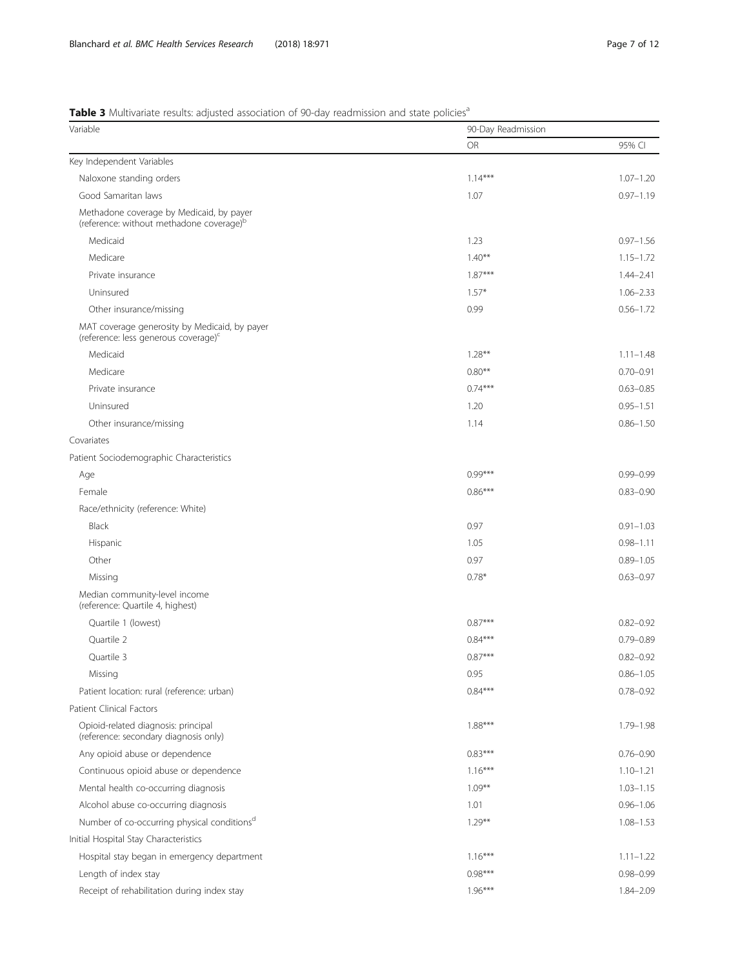# <span id="page-6-0"></span>Table 3 Multivariate results: adjusted association of 90-day readmission and state policies<sup>a</sup>

| Variable                                                                                          | 90-Day Readmission |               |  |  |
|---------------------------------------------------------------------------------------------------|--------------------|---------------|--|--|
|                                                                                                   | <b>OR</b>          | 95% CI        |  |  |
| Key Independent Variables                                                                         |                    |               |  |  |
| Naloxone standing orders                                                                          | $1.14***$          | $1.07 - 1.20$ |  |  |
| Good Samaritan laws                                                                               | 1.07               | $0.97 - 1.19$ |  |  |
| Methadone coverage by Medicaid, by payer<br>(reference: without methadone coverage) <sup>b</sup>  |                    |               |  |  |
| Medicaid                                                                                          | 1.23               | $0.97 - 1.56$ |  |  |
| Medicare                                                                                          | $1.40***$          | $1.15 - 1.72$ |  |  |
| Private insurance                                                                                 | $1.87***$          | $1.44 - 2.41$ |  |  |
| Uninsured                                                                                         | $1.57*$            | $1.06 - 2.33$ |  |  |
| Other insurance/missing                                                                           | 0.99               | $0.56 - 1.72$ |  |  |
| MAT coverage generosity by Medicaid, by payer<br>(reference: less generous coverage) <sup>c</sup> |                    |               |  |  |
| Medicaid                                                                                          | $1.28***$          | $1.11 - 1.48$ |  |  |
| Medicare                                                                                          | $0.80**$           | $0.70 - 0.91$ |  |  |
| Private insurance                                                                                 | $0.74***$          | $0.63 - 0.85$ |  |  |
| Uninsured                                                                                         | 1.20               | $0.95 - 1.51$ |  |  |
| Other insurance/missing                                                                           | 1.14               | $0.86 - 1.50$ |  |  |
| Covariates                                                                                        |                    |               |  |  |
| Patient Sociodemographic Characteristics                                                          |                    |               |  |  |
| Age                                                                                               | $0.99***$          | $0.99 - 0.99$ |  |  |
| Female                                                                                            | $0.86***$          | $0.83 - 0.90$ |  |  |
| Race/ethnicity (reference: White)                                                                 |                    |               |  |  |
| Black                                                                                             | 0.97               | $0.91 - 1.03$ |  |  |
| Hispanic                                                                                          | 1.05               | $0.98 - 1.11$ |  |  |
| Other                                                                                             | 0.97               | $0.89 - 1.05$ |  |  |
| Missing                                                                                           | $0.78*$            | $0.63 - 0.97$ |  |  |
| Median community-level income<br>(reference: Quartile 4, highest)                                 |                    |               |  |  |
| Quartile 1 (lowest)                                                                               | $0.87***$          | $0.82 - 0.92$ |  |  |
| Quartile 2                                                                                        | $0.84***$          | $0.79 - 0.89$ |  |  |
| Quartile 3                                                                                        | $0.87***$          | $0.82 - 0.92$ |  |  |
| Missing                                                                                           | 0.95               | $0.86 - 1.05$ |  |  |
| Patient location: rural (reference: urban)                                                        | $0.84***$          | $0.78 - 0.92$ |  |  |
| <b>Patient Clinical Factors</b>                                                                   |                    |               |  |  |
| Opioid-related diagnosis: principal<br>(reference: secondary diagnosis only)                      | $1.88***$          | $1.79 - 1.98$ |  |  |
| Any opioid abuse or dependence                                                                    | $0.83***$          | $0.76 - 0.90$ |  |  |
| Continuous opioid abuse or dependence                                                             | $1.16***$          | $1.10 - 1.21$ |  |  |
| Mental health co-occurring diagnosis                                                              | $1.09***$          | $1.03 - 1.15$ |  |  |
| Alcohol abuse co-occurring diagnosis                                                              | 1.01               | $0.96 - 1.06$ |  |  |
| Number of co-occurring physical conditions <sup>d</sup>                                           | $1.29***$          | $1.08 - 1.53$ |  |  |
| Initial Hospital Stay Characteristics                                                             |                    |               |  |  |
| Hospital stay began in emergency department                                                       | $1.16***$          | $1.11 - 1.22$ |  |  |
| Length of index stay                                                                              | $0.98***$          | $0.98 - 0.99$ |  |  |
| Receipt of rehabilitation during index stay                                                       | $1.96***$          | 1.84-2.09     |  |  |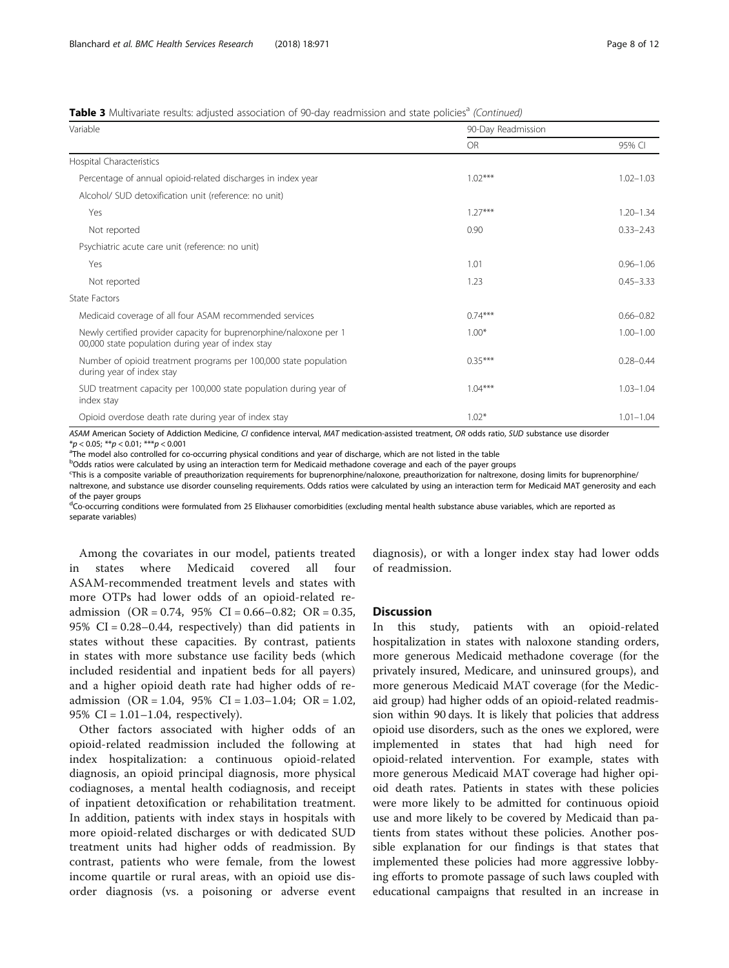## **Table 3** Multivariate results: adjusted association of 90-day readmission and state policies<sup>a</sup> (Continued)

| Variable                                                                                                                | 90-Day Readmission |               |  |  |
|-------------------------------------------------------------------------------------------------------------------------|--------------------|---------------|--|--|
|                                                                                                                         | <b>OR</b>          | 95% CI        |  |  |
| Hospital Characteristics                                                                                                |                    |               |  |  |
| Percentage of annual opioid-related discharges in index year                                                            | $1.02***$          | $1.02 - 1.03$ |  |  |
| Alcohol/ SUD detoxification unit (reference: no unit)                                                                   |                    |               |  |  |
| Yes                                                                                                                     | $1.27***$          | $1.20 - 1.34$ |  |  |
| Not reported                                                                                                            | 0.90               | $0.33 - 2.43$ |  |  |
| Psychiatric acute care unit (reference: no unit)                                                                        |                    |               |  |  |
| Yes                                                                                                                     | 1.01               | $0.96 - 1.06$ |  |  |
| Not reported                                                                                                            | 1.23               | $0.45 - 3.33$ |  |  |
| State Factors                                                                                                           |                    |               |  |  |
| Medicaid coverage of all four ASAM recommended services                                                                 | $0.74***$          | $0.66 - 0.82$ |  |  |
| Newly certified provider capacity for buprenorphine/naloxone per 1<br>00,000 state population during year of index stay | $1.00*$            | $1.00 - 1.00$ |  |  |
| Number of opioid treatment programs per 100,000 state population<br>during year of index stay                           | $0.35***$          | $0.28 - 0.44$ |  |  |
| SUD treatment capacity per 100,000 state population during year of<br>index stay                                        | $1.04***$          | $1.03 - 1.04$ |  |  |
| Opioid overdose death rate during year of index stay                                                                    | $1.02*$            | $1.01 - 1.04$ |  |  |

ASAM American Society of Addiction Medicine, CI confidence interval, MAT medication-assisted treatment, OR odds ratio, SUD substance use disorder \*p < 0.05; \*\*p < 0.01; \*\*\*p < 0.001<br><sup>a</sup>The model also controlled for co-occurring physical conditions and year of discharge, which are not listed in the table

<sup>b</sup>Odds ratios were calculated by using an interaction term for Medicaid methadone coverage and each of the payer groups

c This is a composite variable of preauthorization requirements for buprenorphine/naloxone, preauthorization for naltrexone, dosing limits for buprenorphine/

naltrexone, and substance use disorder counseling requirements. Odds ratios were calculated by using an interaction term for Medicaid MAT generosity and each of the payer groups

<sup>d</sup>Co-occurring conditions were formulated from 25 Elixhauser comorbidities (excluding mental health substance abuse variables, which are reported as separate variables)

Among the covariates in our model, patients treated in states where Medicaid covered all four ASAM-recommended treatment levels and states with more OTPs had lower odds of an opioid-related readmission  $(OR = 0.74, 95\% \text{ CI} = 0.66 - 0.82; \text{ OR} = 0.35,$ 95% CI = 0.28–0.44, respectively) than did patients in states without these capacities. By contrast, patients in states with more substance use facility beds (which included residential and inpatient beds for all payers) and a higher opioid death rate had higher odds of readmission (OR = 1.04, 95% CI = 1.03–1.04; OR = 1.02, 95% CI =  $1.01 - 1.04$ , respectively).

Other factors associated with higher odds of an opioid-related readmission included the following at index hospitalization: a continuous opioid-related diagnosis, an opioid principal diagnosis, more physical codiagnoses, a mental health codiagnosis, and receipt of inpatient detoxification or rehabilitation treatment. In addition, patients with index stays in hospitals with more opioid-related discharges or with dedicated SUD treatment units had higher odds of readmission. By contrast, patients who were female, from the lowest income quartile or rural areas, with an opioid use disorder diagnosis (vs. a poisoning or adverse event diagnosis), or with a longer index stay had lower odds of readmission.

### **Discussion**

In this study, patients with an opioid-related hospitalization in states with naloxone standing orders, more generous Medicaid methadone coverage (for the privately insured, Medicare, and uninsured groups), and more generous Medicaid MAT coverage (for the Medicaid group) had higher odds of an opioid-related readmission within 90 days. It is likely that policies that address opioid use disorders, such as the ones we explored, were implemented in states that had high need for opioid-related intervention. For example, states with more generous Medicaid MAT coverage had higher opioid death rates. Patients in states with these policies were more likely to be admitted for continuous opioid use and more likely to be covered by Medicaid than patients from states without these policies. Another possible explanation for our findings is that states that implemented these policies had more aggressive lobbying efforts to promote passage of such laws coupled with educational campaigns that resulted in an increase in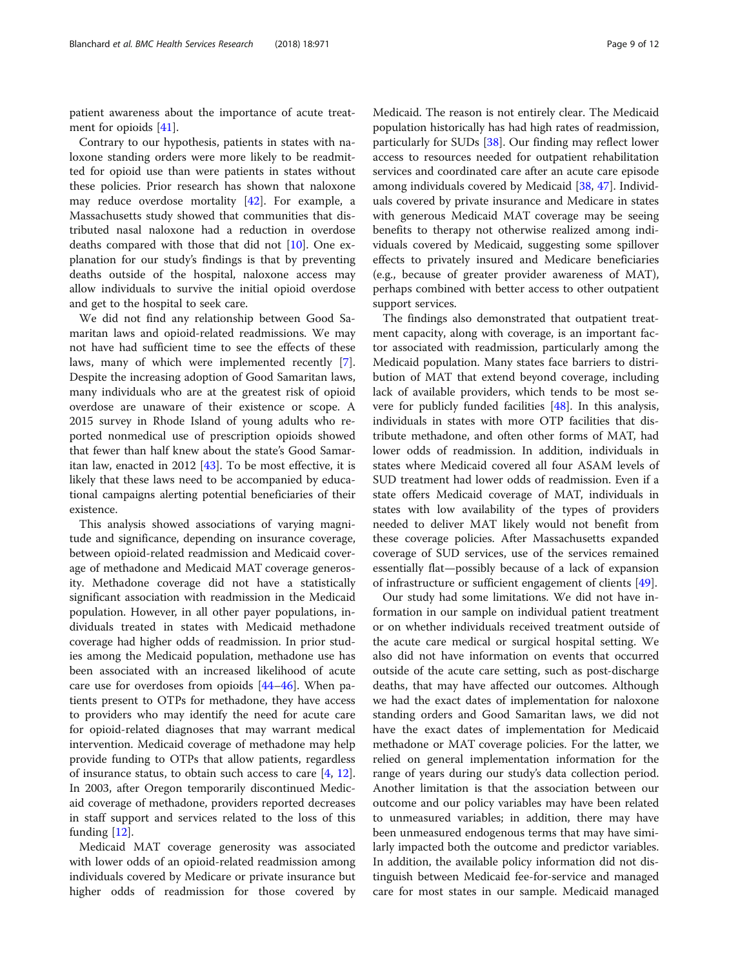patient awareness about the importance of acute treatment for opioids [\[41\]](#page-11-0).

Contrary to our hypothesis, patients in states with naloxone standing orders were more likely to be readmitted for opioid use than were patients in states without these policies. Prior research has shown that naloxone may reduce overdose mortality [\[42](#page-11-0)]. For example, a Massachusetts study showed that communities that distributed nasal naloxone had a reduction in overdose deaths compared with those that did not [\[10\]](#page-10-0). One explanation for our study's findings is that by preventing deaths outside of the hospital, naloxone access may allow individuals to survive the initial opioid overdose and get to the hospital to seek care.

We did not find any relationship between Good Samaritan laws and opioid-related readmissions. We may not have had sufficient time to see the effects of these laws, many of which were implemented recently [\[7](#page-10-0)]. Despite the increasing adoption of Good Samaritan laws, many individuals who are at the greatest risk of opioid overdose are unaware of their existence or scope. A 2015 survey in Rhode Island of young adults who reported nonmedical use of prescription opioids showed that fewer than half knew about the state's Good Samaritan law, enacted in 2012 [[43](#page-11-0)]. To be most effective, it is likely that these laws need to be accompanied by educational campaigns alerting potential beneficiaries of their existence.

This analysis showed associations of varying magnitude and significance, depending on insurance coverage, between opioid-related readmission and Medicaid coverage of methadone and Medicaid MAT coverage generosity. Methadone coverage did not have a statistically significant association with readmission in the Medicaid population. However, in all other payer populations, individuals treated in states with Medicaid methadone coverage had higher odds of readmission. In prior studies among the Medicaid population, methadone use has been associated with an increased likelihood of acute care use for overdoses from opioids [[44](#page-11-0)–[46](#page-11-0)]. When patients present to OTPs for methadone, they have access to providers who may identify the need for acute care for opioid-related diagnoses that may warrant medical intervention. Medicaid coverage of methadone may help provide funding to OTPs that allow patients, regardless of insurance status, to obtain such access to care [\[4](#page-10-0), [12](#page-10-0)]. In 2003, after Oregon temporarily discontinued Medicaid coverage of methadone, providers reported decreases in staff support and services related to the loss of this funding [\[12](#page-10-0)].

Medicaid MAT coverage generosity was associated with lower odds of an opioid-related readmission among individuals covered by Medicare or private insurance but higher odds of readmission for those covered by Medicaid. The reason is not entirely clear. The Medicaid population historically has had high rates of readmission, particularly for SUDs [[38\]](#page-10-0). Our finding may reflect lower access to resources needed for outpatient rehabilitation services and coordinated care after an acute care episode among individuals covered by Medicaid [\[38](#page-10-0), [47](#page-11-0)]. Individuals covered by private insurance and Medicare in states with generous Medicaid MAT coverage may be seeing benefits to therapy not otherwise realized among individuals covered by Medicaid, suggesting some spillover effects to privately insured and Medicare beneficiaries (e.g., because of greater provider awareness of MAT), perhaps combined with better access to other outpatient support services.

The findings also demonstrated that outpatient treatment capacity, along with coverage, is an important factor associated with readmission, particularly among the Medicaid population. Many states face barriers to distribution of MAT that extend beyond coverage, including lack of available providers, which tends to be most severe for publicly funded facilities [[48\]](#page-11-0). In this analysis, individuals in states with more OTP facilities that distribute methadone, and often other forms of MAT, had lower odds of readmission. In addition, individuals in states where Medicaid covered all four ASAM levels of SUD treatment had lower odds of readmission. Even if a state offers Medicaid coverage of MAT, individuals in states with low availability of the types of providers needed to deliver MAT likely would not benefit from these coverage policies. After Massachusetts expanded coverage of SUD services, use of the services remained essentially flat—possibly because of a lack of expansion of infrastructure or sufficient engagement of clients [\[49\]](#page-11-0).

Our study had some limitations. We did not have information in our sample on individual patient treatment or on whether individuals received treatment outside of the acute care medical or surgical hospital setting. We also did not have information on events that occurred outside of the acute care setting, such as post-discharge deaths, that may have affected our outcomes. Although we had the exact dates of implementation for naloxone standing orders and Good Samaritan laws, we did not have the exact dates of implementation for Medicaid methadone or MAT coverage policies. For the latter, we relied on general implementation information for the range of years during our study's data collection period. Another limitation is that the association between our outcome and our policy variables may have been related to unmeasured variables; in addition, there may have been unmeasured endogenous terms that may have similarly impacted both the outcome and predictor variables. In addition, the available policy information did not distinguish between Medicaid fee-for-service and managed care for most states in our sample. Medicaid managed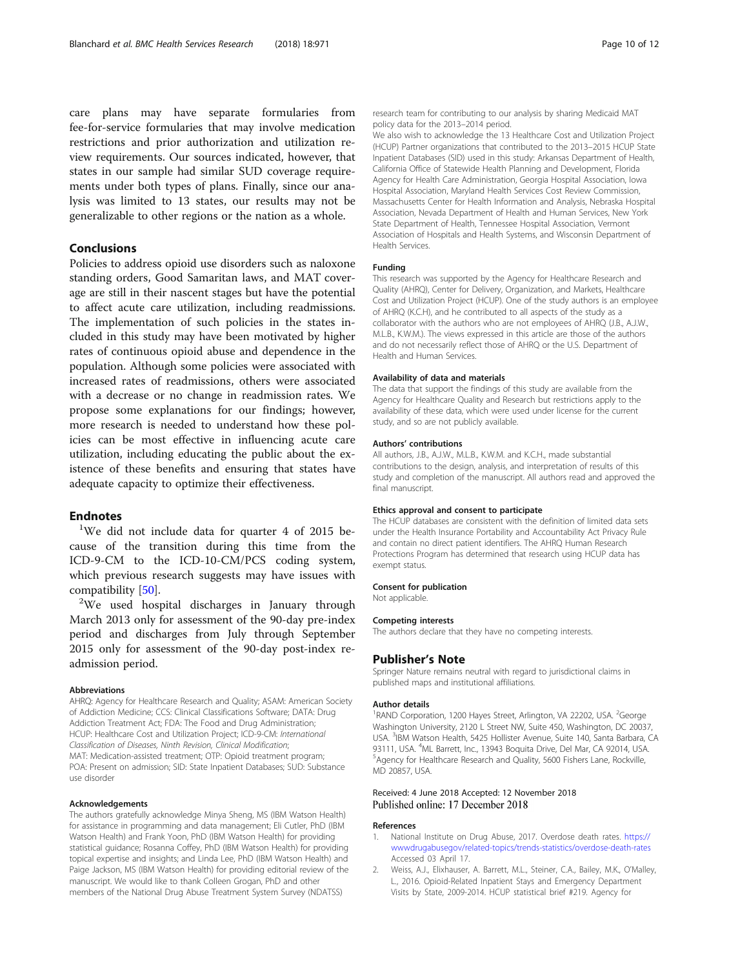<span id="page-9-0"></span>care plans may have separate formularies from fee-for-service formularies that may involve medication restrictions and prior authorization and utilization review requirements. Our sources indicated, however, that states in our sample had similar SUD coverage requirements under both types of plans. Finally, since our analysis was limited to 13 states, our results may not be generalizable to other regions or the nation as a whole.

# Conclusions

Policies to address opioid use disorders such as naloxone standing orders, Good Samaritan laws, and MAT coverage are still in their nascent stages but have the potential to affect acute care utilization, including readmissions. The implementation of such policies in the states included in this study may have been motivated by higher rates of continuous opioid abuse and dependence in the population. Although some policies were associated with increased rates of readmissions, others were associated with a decrease or no change in readmission rates. We propose some explanations for our findings; however, more research is needed to understand how these policies can be most effective in influencing acute care utilization, including educating the public about the existence of these benefits and ensuring that states have adequate capacity to optimize their effectiveness.

# **Endnotes**

<sup>1</sup>We did not include data for quarter 4 of 2015 because of the transition during this time from the ICD-9-CM to the ICD-10-CM/PCS coding system, which previous research suggests may have issues with compatibility [\[50\]](#page-11-0).

<sup>2</sup>We used hospital discharges in January through March 2013 only for assessment of the 90-day pre-index period and discharges from July through September 2015 only for assessment of the 90-day post-index readmission period.

#### Abbreviations

AHRQ: Agency for Healthcare Research and Quality; ASAM: American Society of Addiction Medicine; CCS: Clinical Classifications Software; DATA: Drug Addiction Treatment Act; FDA: The Food and Drug Administration; HCUP: Healthcare Cost and Utilization Project; ICD-9-CM: International Classification of Diseases, Ninth Revision, Clinical Modification; MAT: Medication-assisted treatment; OTP: Opioid treatment program; POA: Present on admission; SID: State Inpatient Databases; SUD: Substance use disorder

#### Acknowledgements

The authors gratefully acknowledge Minya Sheng, MS (IBM Watson Health) for assistance in programming and data management; Eli Cutler, PhD (IBM Watson Health) and Frank Yoon, PhD (IBM Watson Health) for providing statistical guidance; Rosanna Coffey, PhD (IBM Watson Health) for providing topical expertise and insights; and Linda Lee, PhD (IBM Watson Health) and Paige Jackson, MS (IBM Watson Health) for providing editorial review of the manuscript. We would like to thank Colleen Grogan, PhD and other members of the National Drug Abuse Treatment System Survey (NDATSS)

research team for contributing to our analysis by sharing Medicaid MAT policy data for the 2013–2014 period.

We also wish to acknowledge the 13 Healthcare Cost and Utilization Project (HCUP) Partner organizations that contributed to the 2013–2015 HCUP State Inpatient Databases (SID) used in this study: Arkansas Department of Health, California Office of Statewide Health Planning and Development, Florida Agency for Health Care Administration, Georgia Hospital Association, Iowa Hospital Association, Maryland Health Services Cost Review Commission, Massachusetts Center for Health Information and Analysis, Nebraska Hospital Association, Nevada Department of Health and Human Services, New York State Department of Health, Tennessee Hospital Association, Vermont Association of Hospitals and Health Systems, and Wisconsin Department of Health Services.

#### Funding

This research was supported by the Agency for Healthcare Research and Quality (AHRQ), Center for Delivery, Organization, and Markets, Healthcare Cost and Utilization Project (HCUP). One of the study authors is an employee of AHRQ (K.C.H), and he contributed to all aspects of the study as a collaborator with the authors who are not employees of AHRQ (J.B., A.J.W., M.L.B., K.W.M.). The views expressed in this article are those of the authors and do not necessarily reflect those of AHRQ or the U.S. Department of Health and Human Services.

#### Availability of data and materials

The data that support the findings of this study are available from the Agency for Healthcare Quality and Research but restrictions apply to the availability of these data, which were used under license for the current study, and so are not publicly available.

#### Authors' contributions

All authors, J.B., A.J.W., M.L.B., K.W.M. and K.C.H., made substantial contributions to the design, analysis, and interpretation of results of this study and completion of the manuscript. All authors read and approved the final manuscript.

#### Ethics approval and consent to participate

The HCUP databases are consistent with the definition of limited data sets under the Health Insurance Portability and Accountability Act Privacy Rule and contain no direct patient identifiers. The AHRQ Human Research Protections Program has determined that research using HCUP data has exempt status.

#### Consent for publication

#### Not applicable.

#### Competing interests

The authors declare that they have no competing interests.

#### Publisher's Note

Springer Nature remains neutral with regard to jurisdictional claims in published maps and institutional affiliations.

#### Author details

<sup>1</sup>RAND Corporation, 1200 Hayes Street, Arlington, VA 22202, USA. <sup>2</sup>George Washington University, 2120 L Street NW, Suite 450, Washington, DC 20037, USA. <sup>3</sup>IBM Watson Health, 5425 Hollister Avenue, Suite 140, Santa Barbara, CA 93111, USA. <sup>4</sup>ML Barrett, Inc., 13943 Boquita Drive, Del Mar, CA 92014, USA.<br><sup>5</sup>Aganov for Hoalthcare Besoarch and Quality, 5600 Fishers Lang, Boshville. Agency for Healthcare Research and Quality, 5600 Fishers Lane, Rockville, MD 20857, USA.

# Received: 4 June 2018 Accepted: 12 November 2018<br>Published online: 17 December 2018

#### References

- National Institute on Drug Abuse, 2017. Overdose death rates. [https://](https://www.drugabuse.gov/related-topics/trends-statistics/overdose-death-rates) [wwwdrugabusegov/related-topics/trends-statistics/overdose-death-rates](https://www.drugabuse.gov/related-topics/trends-statistics/overdose-death-rates) Accessed 03 April 17.
- 2. Weiss, A.J., Elixhauser, A. Barrett, M.L., Steiner, C.A., Bailey, M.K., O'Malley, L., 2016. Opioid-Related Inpatient Stays and Emergency Department Visits by State, 2009-2014. HCUP statistical brief #219. Agency for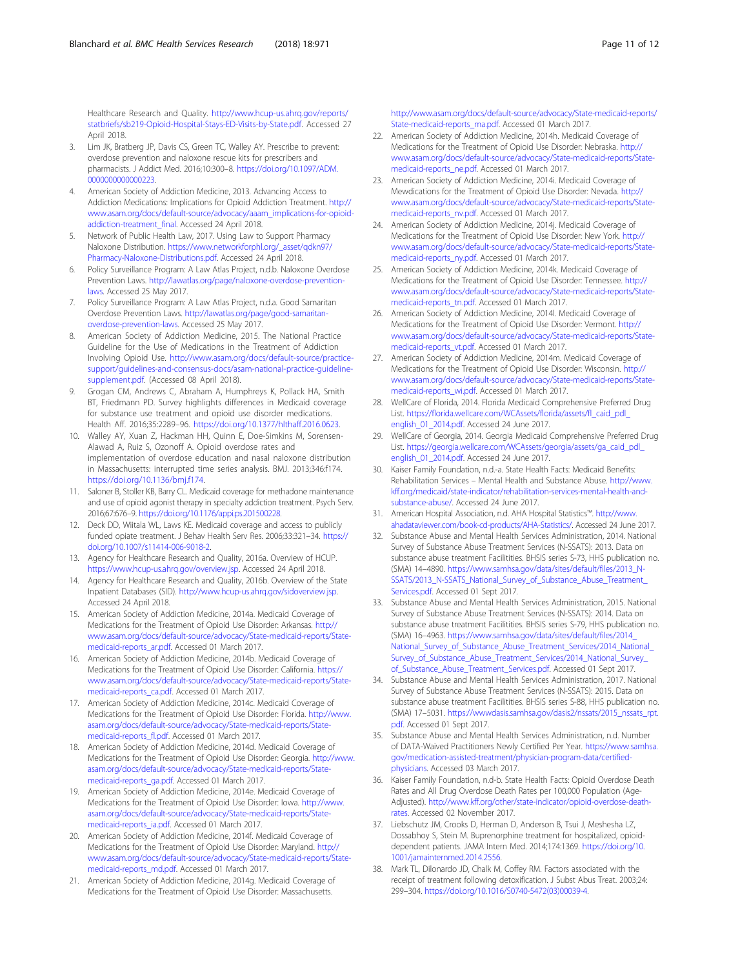<span id="page-10-0"></span>Healthcare Research and Quality. [http://www.hcup-us.ahrq.gov/reports/](http://www.hcup-us.ahrq.gov/reports/statbriefs/sb219-Opioid-Hospital-Stays-ED-Visits-by-State.pdf) [statbriefs/sb219-Opioid-Hospital-Stays-ED-Visits-by-State.pdf](http://www.hcup-us.ahrq.gov/reports/statbriefs/sb219-Opioid-Hospital-Stays-ED-Visits-by-State.pdf). Accessed 27 April 2018.

- Lim JK, Bratberg JP, Davis CS, Green TC, Walley AY. Prescribe to prevent: overdose prevention and naloxone rescue kits for prescribers and pharmacists. J Addict Med. 2016;10:300–8. [https://doi.org/10.1097/ADM.](https://doi.org/10.1097/ADM.0000000000000223) [0000000000000223](https://doi.org/10.1097/ADM.0000000000000223).
- 4. American Society of Addiction Medicine, 2013. Advancing Access to Addiction Medications: Implications for Opioid Addiction Treatment. [http://](http://www.asam.org/docs/default-source/advocacy/aaam_implications-for-opioid-addiction-treatment_final) [www.asam.org/docs/default-source/advocacy/aaam\\_implications-for-opioid](http://www.asam.org/docs/default-source/advocacy/aaam_implications-for-opioid-addiction-treatment_final)[addiction-treatment\\_final.](http://www.asam.org/docs/default-source/advocacy/aaam_implications-for-opioid-addiction-treatment_final) Accessed 24 April 2018.
- 5. Network of Public Health Law, 2017. Using Law to Support Pharmacy Naloxone Distribution. [https://www.networkforphl.org/\\_asset/qdkn97/](https://www.networkforphl.org/_asset/qdkn97/Pharmacy-Naloxone-Distributions.pdf) [Pharmacy-Naloxone-Distributions.pdf](https://www.networkforphl.org/_asset/qdkn97/Pharmacy-Naloxone-Distributions.pdf). Accessed 24 April 2018.
- Policy Surveillance Program: A Law Atlas Project, n.d.b. Naloxone Overdose Prevention Laws. [http://lawatlas.org/page/naloxone-overdose-prevention](http://lawatlas.org/page/naloxone-overdose-prevention-laws)[laws](http://lawatlas.org/page/naloxone-overdose-prevention-laws). Accessed 25 May 2017.
- 7. Policy Surveillance Program: A Law Atlas Project, n.d.a. Good Samaritan Overdose Prevention Laws. [http://lawatlas.org/page/good-samaritan](http://lawatlas.org/page/good-samaritan-overdose-prevention-laws)[overdose-prevention-laws](http://lawatlas.org/page/good-samaritan-overdose-prevention-laws). Accessed 25 May 2017.
- 8. American Society of Addiction Medicine, 2015. The National Practice Guideline for the Use of Medications in the Treatment of Addiction Involving Opioid Use. [http://www.asam.org/docs/default-source/practice](http://www.asam.org/docs/default-source/practice-support/guidelines-and-consensus-docs/asam-national-practice-guideline-supplement.pdf)[support/guidelines-and-consensus-docs/asam-national-practice-guideline](http://www.asam.org/docs/default-source/practice-support/guidelines-and-consensus-docs/asam-national-practice-guideline-supplement.pdf)[supplement.pdf.](http://www.asam.org/docs/default-source/practice-support/guidelines-and-consensus-docs/asam-national-practice-guideline-supplement.pdf) (Accessed 08 April 2018).
- Grogan CM, Andrews C, Abraham A, Humphreys K, Pollack HA, Smith BT, Friedmann PD. Survey highlights differences in Medicaid coverage for substance use treatment and opioid use disorder medications. Health Aff. 2016;35:2289–96. [https://doi.org/10.1377/hlthaff.2016.0623.](https://doi.org/10.1377/hlthaff.2016.0623)
- 10. Walley AY, Xuan Z, Hackman HH, Quinn E, Doe-Simkins M, Sorensen-Alawad A, Ruiz S, Ozonoff A. Opioid overdose rates and implementation of overdose education and nasal naloxone distribution in Massachusetts: interrupted time series analysis. BMJ. 2013;346:f174. <https://doi.org/10.1136/bmj.f174>.
- 11. Saloner B, Stoller KB, Barry CL. Medicaid coverage for methadone maintenance and use of opioid agonist therapy in specialty addiction treatment. Psych Serv. 2016;67:676–9. <https://doi.org/10.1176/appi.ps.201500228>.
- 12. Deck DD, Wiitala WL, Laws KE. Medicaid coverage and access to publicly funded opiate treatment. J Behav Health Serv Res. 2006;33:321–34. [https://](https://doi.org/10.1007/s11414-006-9018-2) [doi.org/10.1007/s11414-006-9018-2](https://doi.org/10.1007/s11414-006-9018-2).
- 13. Agency for Healthcare Research and Quality, 2016a. Overview of HCUP. <https://www.hcup-us.ahrq.gov/overview.jsp>. Accessed 24 April 2018.
- 14. Agency for Healthcare Research and Quality, 2016b. Overview of the State Inpatient Databases (SID). <http://www.hcup-us.ahrq.gov/sidoverview.jsp>. Accessed 24 April 2018.
- 15. American Society of Addiction Medicine, 2014a. Medicaid Coverage of Medications for the Treatment of Opioid Use Disorder: Arkansas. [http://](http://www.asam.org/docs/default-source/advocacy/State-medicaid-reports/State-medicaid-reports_ar.pdf) [www.asam.org/docs/default-source/advocacy/State-medicaid-reports/State](http://www.asam.org/docs/default-source/advocacy/State-medicaid-reports/State-medicaid-reports_ar.pdf)[medicaid-reports\\_ar.pdf.](http://www.asam.org/docs/default-source/advocacy/State-medicaid-reports/State-medicaid-reports_ar.pdf) Accessed 01 March 2017.
- 16. American Society of Addiction Medicine, 2014b. Medicaid Coverage of Medications for the Treatment of Opioid Use Disorder: California. [https://](https://www.asam.org/docs/default-source/advocacy/State-medicaid-reports/State-medicaid-reports_ca.pdf) [www.asam.org/docs/default-source/advocacy/State-medicaid-reports/State](https://www.asam.org/docs/default-source/advocacy/State-medicaid-reports/State-medicaid-reports_ca.pdf)[medicaid-reports\\_ca.pdf.](https://www.asam.org/docs/default-source/advocacy/State-medicaid-reports/State-medicaid-reports_ca.pdf) Accessed 01 March 2017.
- 17. American Society of Addiction Medicine, 2014c. Medicaid Coverage of Medications for the Treatment of Opioid Use Disorder: Florida. [http://www.](http://www.asam.org/docs/default-source/advocacy/State-medicaid-reports/State-medicaid-reports_fl.pdf) [asam.org/docs/default-source/advocacy/State-medicaid-reports/State](http://www.asam.org/docs/default-source/advocacy/State-medicaid-reports/State-medicaid-reports_fl.pdf)[medicaid-reports\\_fl.pdf.](http://www.asam.org/docs/default-source/advocacy/State-medicaid-reports/State-medicaid-reports_fl.pdf) Accessed 01 March 2017.
- 18. American Society of Addiction Medicine, 2014d. Medicaid Coverage of Medications for the Treatment of Opioid Use Disorder: Georgia. [http://www.](http://www.asam.org/docs/default-source/advocacy/State-medicaid-reports/State-medicaid-reports_ga.pdf) [asam.org/docs/default-source/advocacy/State-medicaid-reports/State](http://www.asam.org/docs/default-source/advocacy/State-medicaid-reports/State-medicaid-reports_ga.pdf)[medicaid-reports\\_ga.pdf](http://www.asam.org/docs/default-source/advocacy/State-medicaid-reports/State-medicaid-reports_ga.pdf). Accessed 01 March 2017.
- 19. American Society of Addiction Medicine, 2014e. Medicaid Coverage of Medications for the Treatment of Opioid Use Disorder: Iowa. [http://www.](http://www.asam.org/docs/default-source/advocacy/State-medicaid-reports/State-medicaid-reports_ia.pdf) [asam.org/docs/default-source/advocacy/State-medicaid-reports/State](http://www.asam.org/docs/default-source/advocacy/State-medicaid-reports/State-medicaid-reports_ia.pdf)[medicaid-reports\\_ia.pdf.](http://www.asam.org/docs/default-source/advocacy/State-medicaid-reports/State-medicaid-reports_ia.pdf) Accessed 01 March 2017.
- 20. American Society of Addiction Medicine, 2014f. Medicaid Coverage of Medications for the Treatment of Opioid Use Disorder: Maryland. [http://](http://www.asam.org/docs/default-source/advocacy/State-medicaid-reports/State-medicaid-reports_md.pdf) [www.asam.org/docs/default-source/advocacy/State-medicaid-reports/State](http://www.asam.org/docs/default-source/advocacy/State-medicaid-reports/State-medicaid-reports_md.pdf)[medicaid-reports\\_md.pdf.](http://www.asam.org/docs/default-source/advocacy/State-medicaid-reports/State-medicaid-reports_md.pdf) Accessed 01 March 2017.
- 21. American Society of Addiction Medicine, 2014g. Medicaid Coverage of Medications for the Treatment of Opioid Use Disorder: Massachusetts.

[http://www.asam.org/docs/default-source/advocacy/State-medicaid-reports/](http://www.asam.org/docs/default-source/advocacy/State-medicaid-reports/State-medicaid-reports_ma.pdf) [State-medicaid-reports\\_ma.pdf.](http://www.asam.org/docs/default-source/advocacy/State-medicaid-reports/State-medicaid-reports_ma.pdf) Accessed 01 March 2017.

- 22. American Society of Addiction Medicine, 2014h. Medicaid Coverage of Medications for the Treatment of Opioid Use Disorder: Nebraska. [http://](http://www.asam.org/docs/default-source/advocacy/State-medicaid-reports/State-medicaid-reports_ne.pdf) [www.asam.org/docs/default-source/advocacy/State-medicaid-reports/State](http://www.asam.org/docs/default-source/advocacy/State-medicaid-reports/State-medicaid-reports_ne.pdf)[medicaid-reports\\_ne.pdf](http://www.asam.org/docs/default-source/advocacy/State-medicaid-reports/State-medicaid-reports_ne.pdf). Accessed 01 March 2017.
- 23. American Society of Addiction Medicine, 2014i. Medicaid Coverage of Mewdications for the Treatment of Opioid Use Disorder: Nevada. [http://](http://www.asam.org/docs/default-source/advocacy/State-medicaid-reports/State-medicaid-reports_nv.pdf) [www.asam.org/docs/default-source/advocacy/State-medicaid-reports/State](http://www.asam.org/docs/default-source/advocacy/State-medicaid-reports/State-medicaid-reports_nv.pdf)[medicaid-reports\\_nv.pdf](http://www.asam.org/docs/default-source/advocacy/State-medicaid-reports/State-medicaid-reports_nv.pdf). Accessed 01 March 2017.
- 24. American Society of Addiction Medicine, 2014j. Medicaid Coverage of Medications for the Treatment of Opioid Use Disorder: New York. [http://](http://www.asam.org/docs/default-source/advocacy/State-medicaid-reports/State-medicaid-reports_ny.pdf) [www.asam.org/docs/default-source/advocacy/State-medicaid-reports/State](http://www.asam.org/docs/default-source/advocacy/State-medicaid-reports/State-medicaid-reports_ny.pdf)[medicaid-reports\\_ny.pdf](http://www.asam.org/docs/default-source/advocacy/State-medicaid-reports/State-medicaid-reports_ny.pdf). Accessed 01 March 2017.
- 25. American Society of Addiction Medicine, 2014k. Medicaid Coverage of Medications for the Treatment of Opioid Use Disorder: Tennessee. [http://](http://www.asam.org/docs/default-source/advocacy/State-medicaid-reports/State-medicaid-reports_tn.pdf) [www.asam.org/docs/default-source/advocacy/State-medicaid-reports/State](http://www.asam.org/docs/default-source/advocacy/State-medicaid-reports/State-medicaid-reports_tn.pdf)[medicaid-reports\\_tn.pdf](http://www.asam.org/docs/default-source/advocacy/State-medicaid-reports/State-medicaid-reports_tn.pdf). Accessed 01 March 2017.
- 26. American Society of Addiction Medicine, 2014l. Medicaid Coverage of Medications for the Treatment of Opioid Use Disorder: Vermont. [http://](http://www.asam.org/docs/default-source/advocacy/State-medicaid-reports/State-medicaid-reports_vt.pdf) [www.asam.org/docs/default-source/advocacy/State-medicaid-reports/State](http://www.asam.org/docs/default-source/advocacy/State-medicaid-reports/State-medicaid-reports_vt.pdf)[medicaid-reports\\_vt.pdf.](http://www.asam.org/docs/default-source/advocacy/State-medicaid-reports/State-medicaid-reports_vt.pdf) Accessed 01 March 2017.
- 27. American Society of Addiction Medicine, 2014m. Medicaid Coverage of Medications for the Treatment of Opioid Use Disorder: Wisconsin. [http://](http://www.asam.org/docs/default-source/advocacy/State-medicaid-reports/State-medicaid-reports_wi.pdf) [www.asam.org/docs/default-source/advocacy/State-medicaid-reports/State](http://www.asam.org/docs/default-source/advocacy/State-medicaid-reports/State-medicaid-reports_wi.pdf)[medicaid-reports\\_wi.pdf.](http://www.asam.org/docs/default-source/advocacy/State-medicaid-reports/State-medicaid-reports_wi.pdf) Accessed 01 March 2017.
- 28. WellCare of Florida, 2014. Florida Medicaid Comprehensive Preferred Drug List. https://florida.wellcare.com/WCAssets/florida/assets/fl\_caid\_pdl [english\\_01\\_2014.pdf](https://florida.wellcare.com/WCAssets/florida/assets/fl_caid_pdl_english_01_2014.pdf). Accessed 24 June 2017.
- 29. WellCare of Georgia, 2014. Georgia Medicaid Comprehensive Preferred Drug List. [https://georgia.wellcare.com/WCAssets/georgia/assets/ga\\_caid\\_pdl\\_](https://georgia.wellcare.com/WCAssets/georgia/assets/ga_caid_pdl_english_01_2014.pdf) [english\\_01\\_2014.pdf](https://georgia.wellcare.com/WCAssets/georgia/assets/ga_caid_pdl_english_01_2014.pdf). Accessed 24 June 2017.
- 30. Kaiser Family Foundation, n.d.-a. State Health Facts: Medicaid Benefits: Rehabilitation Services – Mental Health and Substance Abuse. [http://www.](http://www.kff.org/medicaid/state-indicator/rehabilitation-services-mental-health-and-substance-abuse/) [kff.org/medicaid/state-indicator/rehabilitation-services-mental-health-and](http://www.kff.org/medicaid/state-indicator/rehabilitation-services-mental-health-and-substance-abuse/)[substance-abuse/](http://www.kff.org/medicaid/state-indicator/rehabilitation-services-mental-health-and-substance-abuse/). Accessed 24 June 2017.
- 31. American Hospital Association, n.d. AHA Hospital Statistics™. [http://www.](http://www.ahadataviewer.com/book-cd-products/AHA-Statistics/) [ahadataviewer.com/book-cd-products/AHA-Statistics/](http://www.ahadataviewer.com/book-cd-products/AHA-Statistics/). Accessed 24 June 2017.
- 32. Substance Abuse and Mental Health Services Administration, 2014. National Survey of Substance Abuse Treatment Services (N-SSATS): 2013. Data on substance abuse treatment Facilitities. BHSIS series S-73, HHS publication no. (SMA) 14–4890. [https://www.samhsa.gov/data/sites/default/files/2013\\_N-](https://www.samhsa.gov/data/sites/default/files/2013_N-SSATS/2013_N-SSATS_National_Survey_of_Substance_Abuse_Treatment_Services.pdf)[SSATS/2013\\_N-SSATS\\_National\\_Survey\\_of\\_Substance\\_Abuse\\_Treatment\\_](https://www.samhsa.gov/data/sites/default/files/2013_N-SSATS/2013_N-SSATS_National_Survey_of_Substance_Abuse_Treatment_Services.pdf) [Services.pdf](https://www.samhsa.gov/data/sites/default/files/2013_N-SSATS/2013_N-SSATS_National_Survey_of_Substance_Abuse_Treatment_Services.pdf). Accessed 01 Sept 2017.
- 33. Substance Abuse and Mental Health Services Administration, 2015. National Survey of Substance Abuse Treatment Services (N-SSATS): 2014. Data on substance abuse treatment Facilitities. BHSIS series S-79, HHS publication no. (SMA) 16–4963. [https://www.samhsa.gov/data/sites/default/files/2014\\_](https://www.samhsa.gov/data/sites/default/files/2014_National_Survey_of_Substance_Abuse_Treatment_Services/2014_National_Survey_of_Substance_Abuse_Treatment_Services/2014_National_Survey_of_Substance_Abuse_Treatment_Services.pdf) [National\\_Survey\\_of\\_Substance\\_Abuse\\_Treatment\\_Services/2014\\_National\\_](https://www.samhsa.gov/data/sites/default/files/2014_National_Survey_of_Substance_Abuse_Treatment_Services/2014_National_Survey_of_Substance_Abuse_Treatment_Services/2014_National_Survey_of_Substance_Abuse_Treatment_Services.pdf) [Survey\\_of\\_Substance\\_Abuse\\_Treatment\\_Services/2014\\_National\\_Survey\\_](https://www.samhsa.gov/data/sites/default/files/2014_National_Survey_of_Substance_Abuse_Treatment_Services/2014_National_Survey_of_Substance_Abuse_Treatment_Services/2014_National_Survey_of_Substance_Abuse_Treatment_Services.pdf) [of\\_Substance\\_Abuse\\_Treatment\\_Services.pdf.](https://www.samhsa.gov/data/sites/default/files/2014_National_Survey_of_Substance_Abuse_Treatment_Services/2014_National_Survey_of_Substance_Abuse_Treatment_Services/2014_National_Survey_of_Substance_Abuse_Treatment_Services.pdf) Accessed 01 Sept 2017.
- 34. Substance Abuse and Mental Health Services Administration, 2017. National Survey of Substance Abuse Treatment Services (N-SSATS): 2015. Data on substance abuse treatment Facilitities. BHSIS series S-88, HHS publication no. (SMA) 17–5031. [https://wwwdasis.samhsa.gov/dasis2/nssats/2015\\_nssats\\_rpt.](https://wwwdasis.samhsa.gov/dasis2/nssats/2015_nssats_rpt.pdf) [pdf](https://wwwdasis.samhsa.gov/dasis2/nssats/2015_nssats_rpt.pdf). Accessed 01 Sept 2017.
- Substance Abuse and Mental Health Services Administration, n.d. Number of DATA-Waived Practitioners Newly Certified Per Year. [https://www.samhsa.](https://www.samhsa.gov/medication-assisted-treatment/physician-program-data/certified-physicians) [gov/medication-assisted-treatment/physician-program-data/certified](https://www.samhsa.gov/medication-assisted-treatment/physician-program-data/certified-physicians)[physicians.](https://www.samhsa.gov/medication-assisted-treatment/physician-program-data/certified-physicians) Accessed 03 March 2017.
- 36. Kaiser Family Foundation, n.d-b. State Health Facts: Opioid Overdose Death Rates and All Drug Overdose Death Rates per 100,000 Population (Age-Adjusted). [http://www.kff.org/other/state-indicator/opioid-overdose-death](http://www.kff.org/other/state-indicator/opioid-overdose-death-rates)[rates](http://www.kff.org/other/state-indicator/opioid-overdose-death-rates). Accessed 02 November 2017.
- 37. Liebschutz JM, Crooks D, Herman D, Anderson B, Tsui J, Meshesha LZ, Dossabhoy S, Stein M. Buprenorphine treatment for hospitalized, opioiddependent patients. JAMA Intern Med. 2014;174:1369. [https://doi.org/10.](https://doi.org/10.1001/jamainternmed.2014.2556) [1001/jamainternmed.2014.2556.](https://doi.org/10.1001/jamainternmed.2014.2556)
- 38. Mark TL, Dilonardo JD, Chalk M, Coffey RM. Factors associated with the receipt of treatment following detoxification. J Subst Abus Treat. 2003;24: 299–304. [https://doi.org/10.1016/S0740-5472\(03\)00039-4](https://doi.org/10.1016/S0740-5472(03)00039-4).